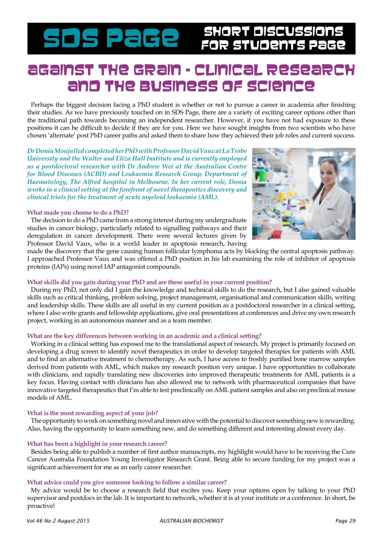# SDS PaGe SHORT DISCUSSIONS

# Against the grain – clinical research and the business of science

Perhaps the biggest decision facing a PhD student is whether or not to pursue a career in academia after finishing their studies. As we have previously touched on in SDS Page, there are a variety of exciting career options other than the traditional path towards becoming an independent researcher. However, if you have not had exposure to these positions it can be difficult to decide if they are for you. Here we have sought insights from two scientists who have chosen 'alternate' post PhD career paths and asked them to share how they achieved their job roles and current success.

*Dr Donia Moujalled completed her PhD with Professor David Vaux at La Trobe University and the Walter and Eliza Hall Institute and is currently employed as a postdoctoral researcher with Dr Andrew Wei at the Australian Centre for Blood Diseases (ACBD) and Leukaemia Research Group, Department of Haematology, The Alfred hospital in Melbourne. In her current role, Donia works in a clinical setting at the forefront of novel therapeutics discovery and clinical trials for the treatment of acute myeloid leukaemia (AML).* 

#### **What made you choose to do a PhD?**

The decision to do a PhD came from a strong interest during my undergraduate studies in cancer biology, particularly related to signalling pathways and their deregulation in cancer development. There were several lectures given by Professor David Vaux, who is a world leader in apoptosis research, having



made the discovery that the gene causing human follicular lymphoma acts by blocking the central apoptosis pathway. I approached Professor Vaux and was offered a PhD position in his lab examining the role of inhibitor of apoptosis proteins (IAPs) using novel IAP antagonist compounds.

# **What skills did you gain during your PhD and are these useful in your current position?**

During my PhD, not only did I gain the knowledge and technical skills to do the research, but I also gained valuable skills such as critical thinking, problem solving, project management, organisational and communication skills, writing and leadership skills. These skills are all useful in my current position as a postdoctoral researcher in a clinical setting, where I also write grants and fellowship applications, give oral presentations at conferences and drive my own research project, working in an autonomous manner and as a team member.

## **What are the key differences between working in an academic and a clinical setting?**

Working in a clinical setting has exposed me to the translational aspect of research. My project is primarily focused on developing a drug screen to identify novel therapeutics in order to develop targeted therapies for patients with AML and to find an alternative treatment to chemotherapy. As such, I have access to freshly purified bone marrow samples derived from patients with AML, which makes my research position very unique. I have opportunities to collaborate with clinicians, and rapidly translating new discoveries into improved therapeutic treatments for AML patients is a key focus. Having contact with clinicians has also allowed me to network with pharmaceutical companies that have innovative targeted therapeutics that I'm able to test preclinically on AML patient samples and also on preclinical mouse models of AML.

#### **What is the most rewarding aspect of your job?**

The opportunity to work on something novel and innovative with the potential to discover something new is rewarding. Also, having the opportunity to learn something new, and do something different and interesting almost every day.

#### **What has been a highlight in your research career?**

Besides being able to publish a number of first author manuscripts, my highlight would have to be receiving the Cure Cancer Australia Foundation Young Investigator Research Grant. Being able to secure funding for my project was a significant achievement for me as an early career researcher.

## **What advice could you give someone looking to follow a similar career?**

My advice would be to choose a research field that excites you. Keep your options open by talking to your PhD supervisor and postdocs in the lab. It is important to network, whether it is at your institute or a conference. In short, be proactive!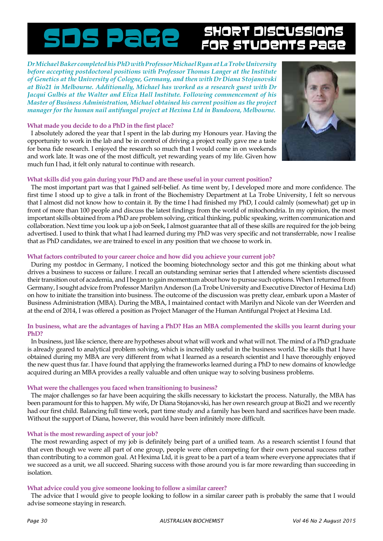# SDS Page SHORT DISCUSSIO

*Dr Michael Baker completed his PhD with Professor Michael Ryan at La Trobe University before accepting postdoctoral positions with Professor Thomas Langer at the Institute of Genetics at the University of Cologne, Germany, and then with Dr Diana Stojanovski at Bio21 in Melbourne. Additionally, Michael has worked as a research guest with Dr Jacqui Gulbis at the Walter and Eliza Hall Institute. Following commencement of his Master of Business Administration, Michael obtained his current position as the project manager for the human nail antifungal project at Hexima Ltd in Bundoora, Melbourne.* 

# **What made you decide to do a PhD in the first place?**

I absolutely adored the year that I spent in the lab during my Honours year. Having the opportunity to work in the lab and be in control of driving a project really gave me a taste for bona fide research. I enjoyed the research so much that I would come in on weekends and work late. It was one of the most difficult, yet rewarding years of my life. Given how much fun I had, it felt only natural to continue with research.



# **What skills did you gain during your PhD and are these useful in your current position?**

The most important part was that I gained self-belief. As time went by, I developed more and more confidence. The first time I stood up to give a talk in front of the Biochemistry Department at La Trobe University, I felt so nervous that I almost did not know how to contain it. By the time I had finished my PhD, I could calmly (somewhat) get up in front of more than 100 people and discuss the latest findings from the world of mitochondria. In my opinion, the most important skills obtained from a PhD are problem solving, critical thinking, public speaking, written communication and collaboration. Next time you look up a job on Seek, I almost guarantee that all of these skills are required for the job being advertised. I used to think that what I had learned during my PhD was very specific and not transferrable, now I realise that as PhD candidates, we are trained to excel in any position that we choose to work in.

## **What factors contributed to your career choice and how did you achieve your current job?**

During my postdoc in Germany, I noticed the booming biotechnology sector and this got me thinking about what drives a business to success or failure. I recall an outstanding seminar series that I attended where scientists discussed their transition out of academia, and I began to gain momentum about how to pursue such options. When I returned from Germany, I sought advice from Professor Marilyn Anderson (La Trobe University and Executive Director of Hexima Ltd) on how to initiate the transition into business. The outcome of the discussion was pretty clear, embark upon a Master of Business Administration (MBA). During the MBA, I maintained contact with Marilyn and Nicole van der Weerden and at the end of 2014, I was offered a position as Project Manager of the Human Antifungal Project at Hexima Ltd.

# **In business, what are the advantages of having a PhD? Has an MBA complemented the skills you learnt during your PhD?**

In business, just like science, there are hypotheses about what will work and what will not. The mind of a PhD graduate is already geared to analytical problem solving, which is incredibly useful in the business world. The skills that I have obtained during my MBA are very different from what I learned as a research scientist and I have thoroughly enjoyed the new quest thus far. I have found that applying the frameworks learned during a PhD to new domains of knowledge acquired during an MBA provides a really valuable and often unique way to solving business problems.

## **What were the challenges you faced when transitioning to business?**

The major challenges so far have been acquiring the skills necessary to kickstart the process. Naturally, the MBA has been paramount for this to happen. My wife, Dr Diana Stojanovski, has her own research group at Bio21 and we recently had our first child. Balancing full time work, part time study and a family has been hard and sacrifices have been made. Without the support of Diana, however, this would have been infinitely more difficult.

## **What is the most rewarding aspect of your job?**

The most rewarding aspect of my job is definitely being part of a unified team. As a research scientist I found that that even though we were all part of one group, people were often competing for their own personal success rather than contributing to a common goal. At Hexima Ltd, it is great to be a part of a team where everyone appreciates that if we succeed as a unit, we all succeed. Sharing success with those around you is far more rewarding than succeeding in isolation.

# **What advice could you give someone looking to follow a similar career?**

The advice that I would give to people looking to follow in a similar career path is probably the same that I would advise someone staying in research.